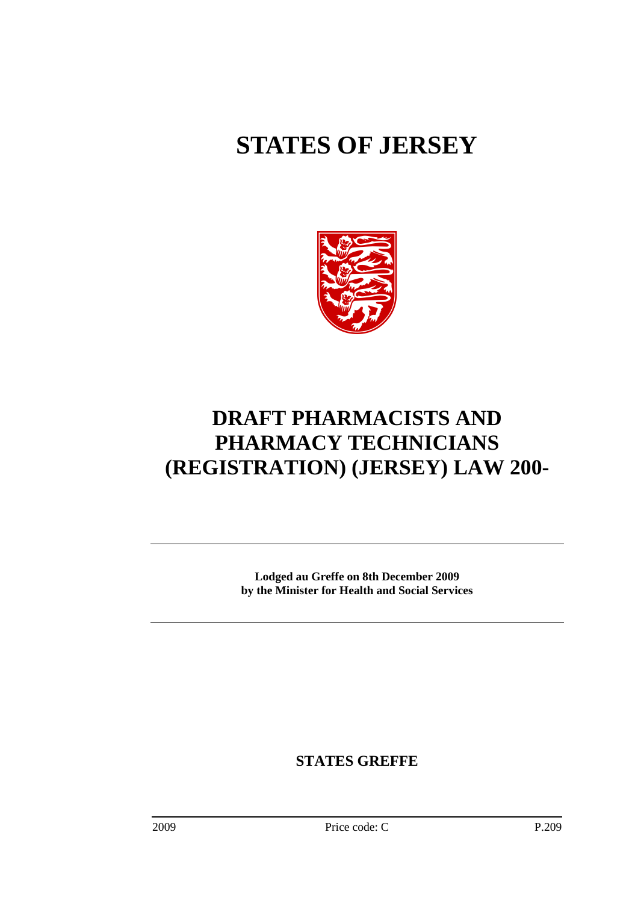# **STATES OF JERSEY**



# **DRAFT PHARMACISTS AND PHARMACY TECHNICIANS (REGISTRATION) (JERSEY) LAW 200-**

**Lodged au Greffe on 8th December 2009 by the Minister for Health and Social Services** 

**STATES GREFFE**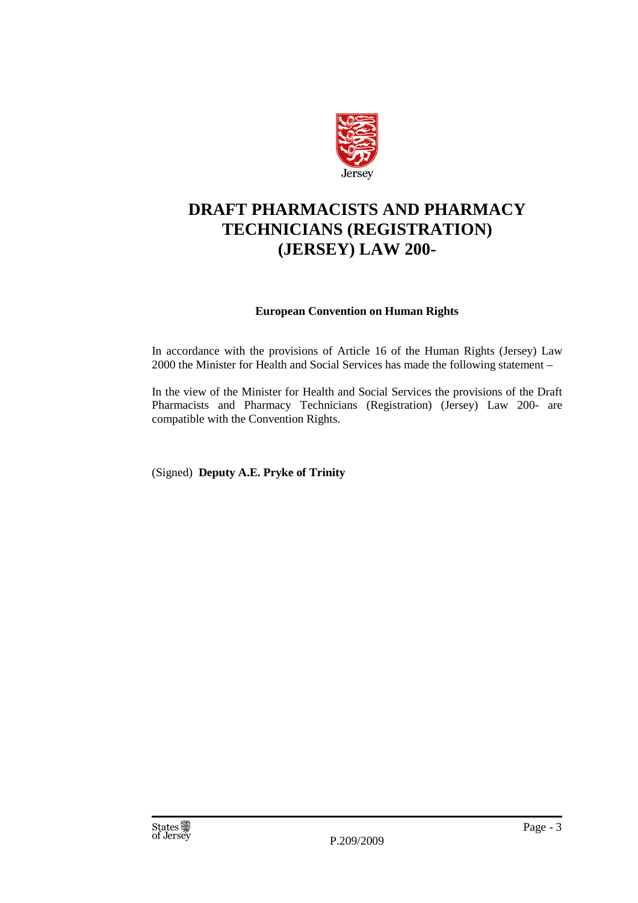

# **DRAFT PHARMACISTS AND PHARMACY TECHNICIANS (REGISTRATION) (JERSEY) LAW 200-**

## **European Convention on Human Rights**

In accordance with the provisions of Article 16 of the Human Rights (Jersey) Law 2000 the Minister for Health and Social Services has made the following statement –

In the view of the Minister for Health and Social Services the provisions of the Draft Pharmacists and Pharmacy Technicians (Registration) (Jersey) Law 200- are compatible with the Convention Rights.

(Signed) **Deputy A.E. Pryke of Trinity**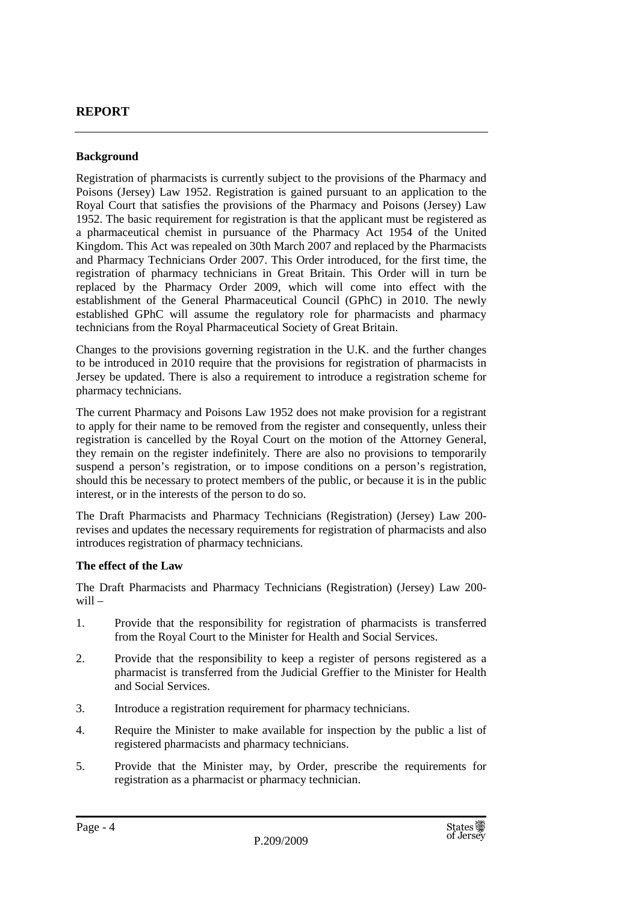# **REPORT**

#### **Background**

Registration of pharmacists is currently subject to the provisions of the Pharmacy and Poisons (Jersey) Law 1952. Registration is gained pursuant to an application to the Royal Court that satisfies the provisions of the Pharmacy and Poisons (Jersey) Law 1952. The basic requirement for registration is that the applicant must be registered as a pharmaceutical chemist in pursuance of the Pharmacy Act 1954 of the United Kingdom. This Act was repealed on 30th March 2007 and replaced by the Pharmacists and Pharmacy Technicians Order 2007. This Order introduced, for the first time, the registration of pharmacy technicians in Great Britain. This Order will in turn be replaced by the Pharmacy Order 2009, which will come into effect with the establishment of the General Pharmaceutical Council (GPhC) in 2010. The newly established GPhC will assume the regulatory role for pharmacists and pharmacy technicians from the Royal Pharmaceutical Society of Great Britain.

Changes to the provisions governing registration in the U.K. and the further changes to be introduced in 2010 require that the provisions for registration of pharmacists in Jersey be updated. There is also a requirement to introduce a registration scheme for pharmacy technicians.

The current Pharmacy and Poisons Law 1952 does not make provision for a registrant to apply for their name to be removed from the register and consequently, unless their registration is cancelled by the Royal Court on the motion of the Attorney General, they remain on the register indefinitely. There are also no provisions to temporarily suspend a person's registration, or to impose conditions on a person's registration, should this be necessary to protect members of the public, or because it is in the public interest, or in the interests of the person to do so.

The Draft Pharmacists and Pharmacy Technicians (Registration) (Jersey) Law 200 revises and updates the necessary requirements for registration of pharmacists and also introduces registration of pharmacy technicians.

#### **The effect of the Law**

The Draft Pharmacists and Pharmacy Technicians (Registration) (Jersey) Law 200 will –

- 1. Provide that the responsibility for registration of pharmacists is transferred from the Royal Court to the Minister for Health and Social Services.
- 2. Provide that the responsibility to keep a register of persons registered as a pharmacist is transferred from the Judicial Greffier to the Minister for Health and Social Services.
- 3. Introduce a registration requirement for pharmacy technicians.
- 4. Require the Minister to make available for inspection by the public a list of registered pharmacists and pharmacy technicians.
- 5. Provide that the Minister may, by Order, prescribe the requirements for registration as a pharmacist or pharmacy technician.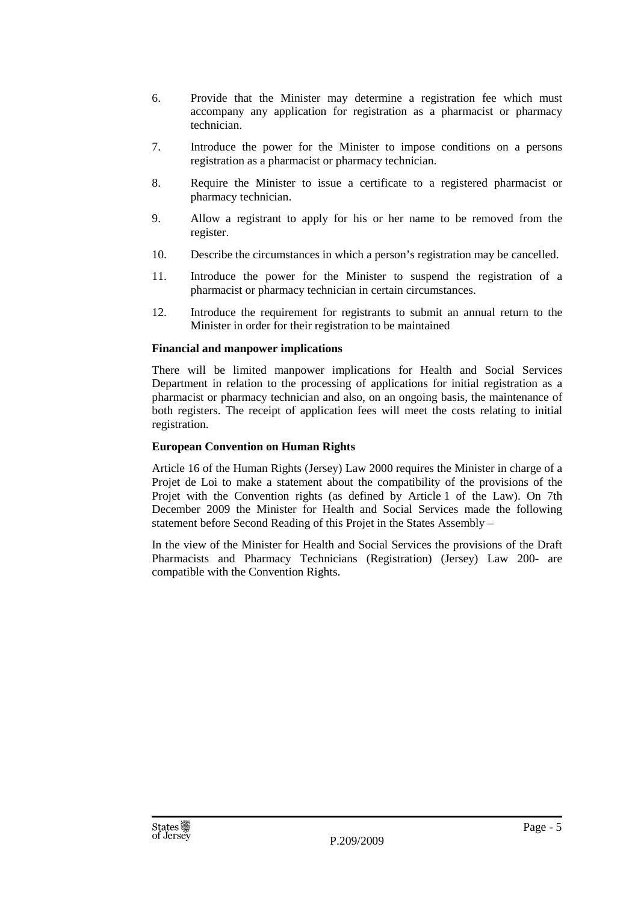- 6. Provide that the Minister may determine a registration fee which must accompany any application for registration as a pharmacist or pharmacy technician.
- 7. Introduce the power for the Minister to impose conditions on a persons registration as a pharmacist or pharmacy technician.
- 8. Require the Minister to issue a certificate to a registered pharmacist or pharmacy technician.
- 9. Allow a registrant to apply for his or her name to be removed from the register.
- 10. Describe the circumstances in which a person's registration may be cancelled.
- 11. Introduce the power for the Minister to suspend the registration of a pharmacist or pharmacy technician in certain circumstances.
- 12. Introduce the requirement for registrants to submit an annual return to the Minister in order for their registration to be maintained

#### **Financial and manpower implications**

There will be limited manpower implications for Health and Social Services Department in relation to the processing of applications for initial registration as a pharmacist or pharmacy technician and also, on an ongoing basis, the maintenance of both registers. The receipt of application fees will meet the costs relating to initial registration.

#### **European Convention on Human Rights**

Article 16 of the Human Rights (Jersey) Law 2000 requires the Minister in charge of a Projet de Loi to make a statement about the compatibility of the provisions of the Projet with the Convention rights (as defined by Article 1 of the Law). On 7th December 2009 the Minister for Health and Social Services made the following statement before Second Reading of this Projet in the States Assembly –

In the view of the Minister for Health and Social Services the provisions of the Draft Pharmacists and Pharmacy Technicians (Registration) (Jersey) Law 200- are compatible with the Convention Rights.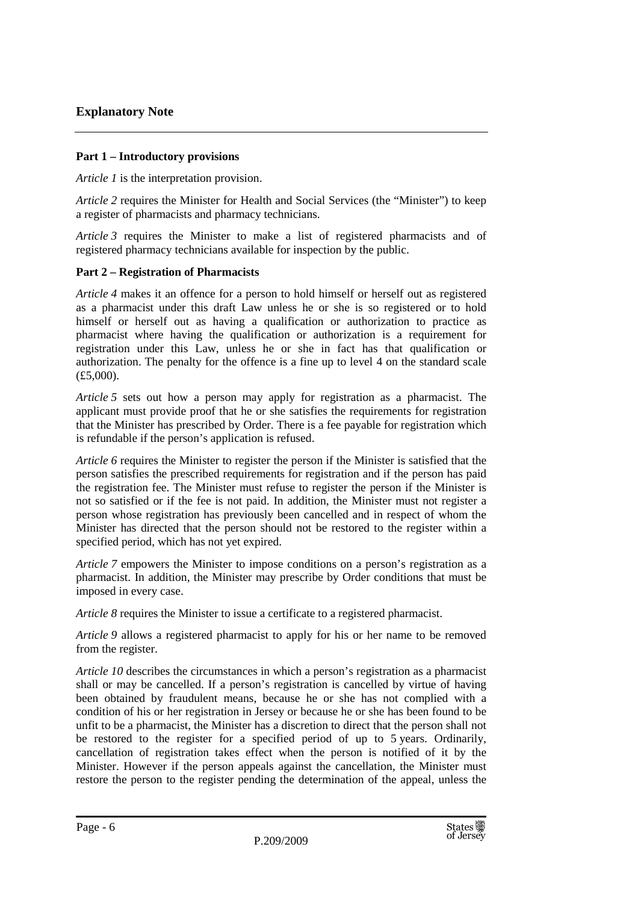## **Part 1 – Introductory provisions**

*Article 1* is the interpretation provision.

*Article 2* requires the Minister for Health and Social Services (the "Minister") to keep a register of pharmacists and pharmacy technicians.

*Article 3* requires the Minister to make a list of registered pharmacists and of registered pharmacy technicians available for inspection by the public.

## **Part 2 – Registration of Pharmacists**

*Article 4* makes it an offence for a person to hold himself or herself out as registered as a pharmacist under this draft Law unless he or she is so registered or to hold himself or herself out as having a qualification or authorization to practice as pharmacist where having the qualification or authorization is a requirement for registration under this Law, unless he or she in fact has that qualification or authorization. The penalty for the offence is a fine up to level 4 on the standard scale (£5,000).

*Article 5* sets out how a person may apply for registration as a pharmacist. The applicant must provide proof that he or she satisfies the requirements for registration that the Minister has prescribed by Order. There is a fee payable for registration which is refundable if the person's application is refused.

*Article 6* requires the Minister to register the person if the Minister is satisfied that the person satisfies the prescribed requirements for registration and if the person has paid the registration fee. The Minister must refuse to register the person if the Minister is not so satisfied or if the fee is not paid. In addition, the Minister must not register a person whose registration has previously been cancelled and in respect of whom the Minister has directed that the person should not be restored to the register within a specified period, which has not yet expired.

*Article 7* empowers the Minister to impose conditions on a person's registration as a pharmacist. In addition, the Minister may prescribe by Order conditions that must be imposed in every case.

*Article 8* requires the Minister to issue a certificate to a registered pharmacist.

*Article 9* allows a registered pharmacist to apply for his or her name to be removed from the register.

*Article 10* describes the circumstances in which a person's registration as a pharmacist shall or may be cancelled. If a person's registration is cancelled by virtue of having been obtained by fraudulent means, because he or she has not complied with a condition of his or her registration in Jersey or because he or she has been found to be unfit to be a pharmacist, the Minister has a discretion to direct that the person shall not be restored to the register for a specified period of up to 5 years. Ordinarily, cancellation of registration takes effect when the person is notified of it by the Minister. However if the person appeals against the cancellation, the Minister must restore the person to the register pending the determination of the appeal, unless the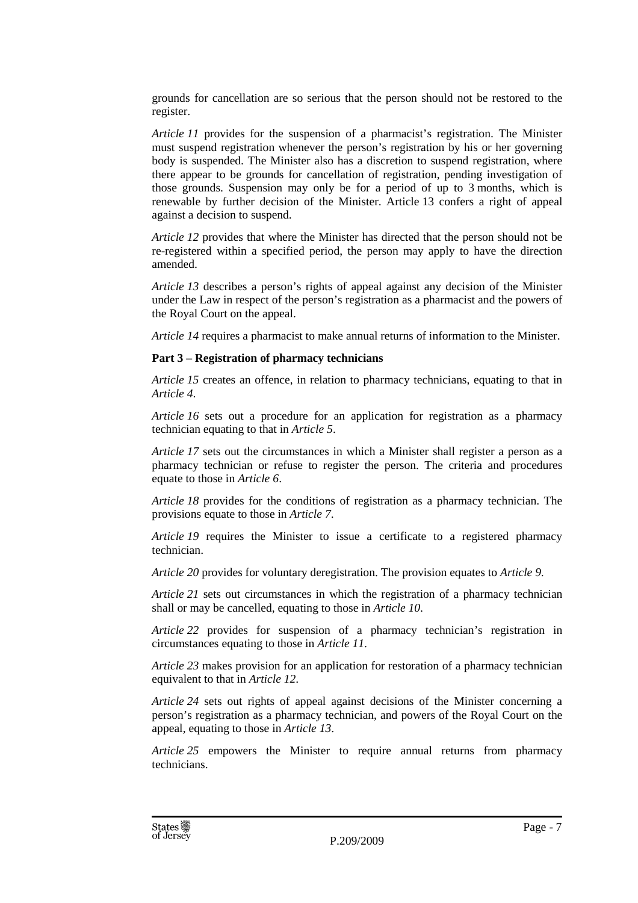grounds for cancellation are so serious that the person should not be restored to the register.

*Article 11* provides for the suspension of a pharmacist's registration. The Minister must suspend registration whenever the person's registration by his or her governing body is suspended. The Minister also has a discretion to suspend registration, where there appear to be grounds for cancellation of registration, pending investigation of those grounds. Suspension may only be for a period of up to 3 months, which is renewable by further decision of the Minister. Article 13 confers a right of appeal against a decision to suspend.

*Article 12* provides that where the Minister has directed that the person should not be re-registered within a specified period, the person may apply to have the direction amended.

*Article 13* describes a person's rights of appeal against any decision of the Minister under the Law in respect of the person's registration as a pharmacist and the powers of the Royal Court on the appeal.

*Article 14* requires a pharmacist to make annual returns of information to the Minister.

#### **Part 3 – Registration of pharmacy technicians**

*Article 15* creates an offence, in relation to pharmacy technicians, equating to that in *Article 4*.

*Article 16* sets out a procedure for an application for registration as a pharmacy technician equating to that in *Article 5*.

*Article 17* sets out the circumstances in which a Minister shall register a person as a pharmacy technician or refuse to register the person. The criteria and procedures equate to those in *Article 6*.

*Article 18* provides for the conditions of registration as a pharmacy technician. The provisions equate to those in *Article 7*.

*Article 19* requires the Minister to issue a certificate to a registered pharmacy technician.

*Article 20* provides for voluntary deregistration. The provision equates to *Article 9*.

*Article 21* sets out circumstances in which the registration of a pharmacy technician shall or may be cancelled, equating to those in *Article 10*.

*Article 22* provides for suspension of a pharmacy technician's registration in circumstances equating to those in *Article 11*.

*Article 23* makes provision for an application for restoration of a pharmacy technician equivalent to that in *Article 12*.

*Article 24* sets out rights of appeal against decisions of the Minister concerning a person's registration as a pharmacy technician, and powers of the Royal Court on the appeal, equating to those in *Article 13*.

*Article 25* empowers the Minister to require annual returns from pharmacy technicians.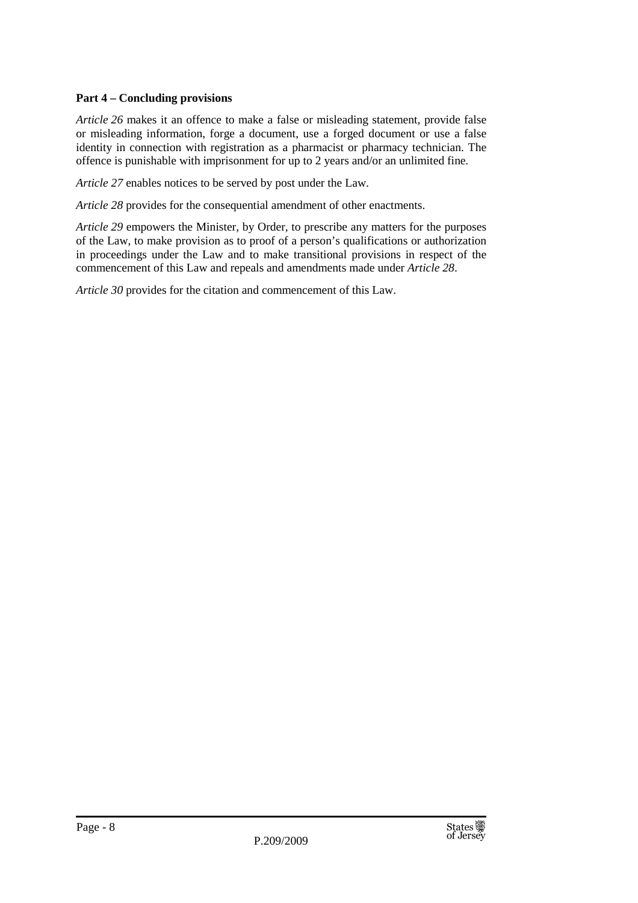#### **Part 4 – Concluding provisions**

*Article 26* makes it an offence to make a false or misleading statement, provide false or misleading information, forge a document, use a forged document or use a false identity in connection with registration as a pharmacist or pharmacy technician. The offence is punishable with imprisonment for up to 2 years and/or an unlimited fine.

*Article 27* enables notices to be served by post under the Law.

*Article 28* provides for the consequential amendment of other enactments.

*Article 29* empowers the Minister, by Order, to prescribe any matters for the purposes of the Law, to make provision as to proof of a person's qualifications or authorization in proceedings under the Law and to make transitional provisions in respect of the commencement of this Law and repeals and amendments made under *Article 28*.

*Article 30* provides for the citation and commencement of this Law.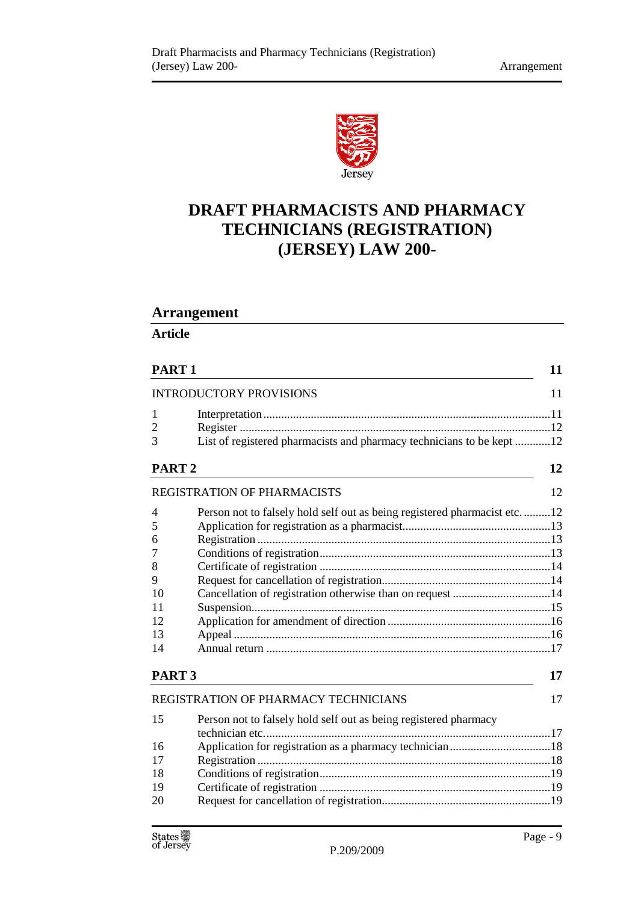

# **DRAFT PHARMACISTS AND PHARMACY TECHNICIANS (REGISTRATION) (JERSEY) LAW 200-**

# **Arrangement**

**Article** 

| PART <sub>1</sub>              |                                                                          | 11 |
|--------------------------------|--------------------------------------------------------------------------|----|
| <b>INTRODUCTORY PROVISIONS</b> |                                                                          |    |
| 1<br>2<br>3                    | List of registered pharmacists and pharmacy technicians to be kept 12    |    |
| PART <sub>2</sub>              |                                                                          | 12 |
|                                | <b>REGISTRATION OF PHARMACISTS</b>                                       | 12 |
| 4                              | Person not to falsely hold self out as being registered pharmacist etc12 |    |
| 5                              |                                                                          |    |
| 6                              |                                                                          |    |
| 7                              |                                                                          |    |
| 8                              |                                                                          |    |
| 9                              |                                                                          |    |
| 10                             | Cancellation of registration otherwise than on request 14                |    |
| 11                             |                                                                          |    |
| 12                             |                                                                          |    |
| 13                             |                                                                          |    |
| 14                             |                                                                          |    |
| PART <sub>3</sub>              |                                                                          | 17 |
|                                | <b>REGISTRATION OF PHARMACY TECHNICIANS</b>                              | 17 |
| 15                             | Person not to falsely hold self out as being registered pharmacy         |    |
| 16                             |                                                                          |    |
| 17                             |                                                                          |    |
| 18                             |                                                                          |    |
| 19                             |                                                                          |    |
| 20                             |                                                                          |    |
|                                |                                                                          |    |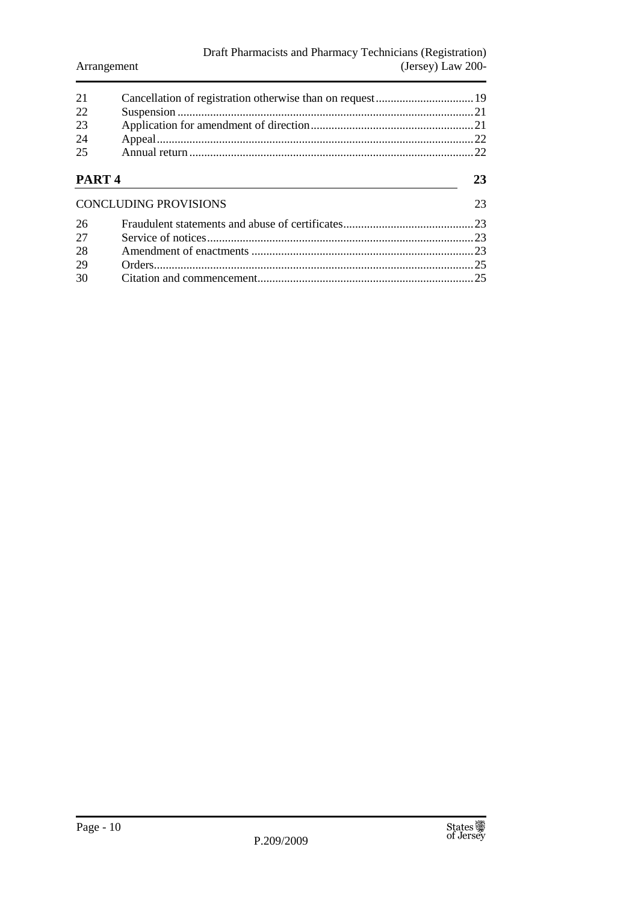| 2.1<br>22<br>23<br>24<br>25 |                              |    |
|-----------------------------|------------------------------|----|
| PART <sub>4</sub>           |                              | 23 |
|                             | <b>CONCLUDING PROVISIONS</b> | 23 |
| 26                          |                              |    |
| 27                          |                              |    |
| 28                          |                              |    |
| 29                          |                              | 25 |
| 30                          |                              | 25 |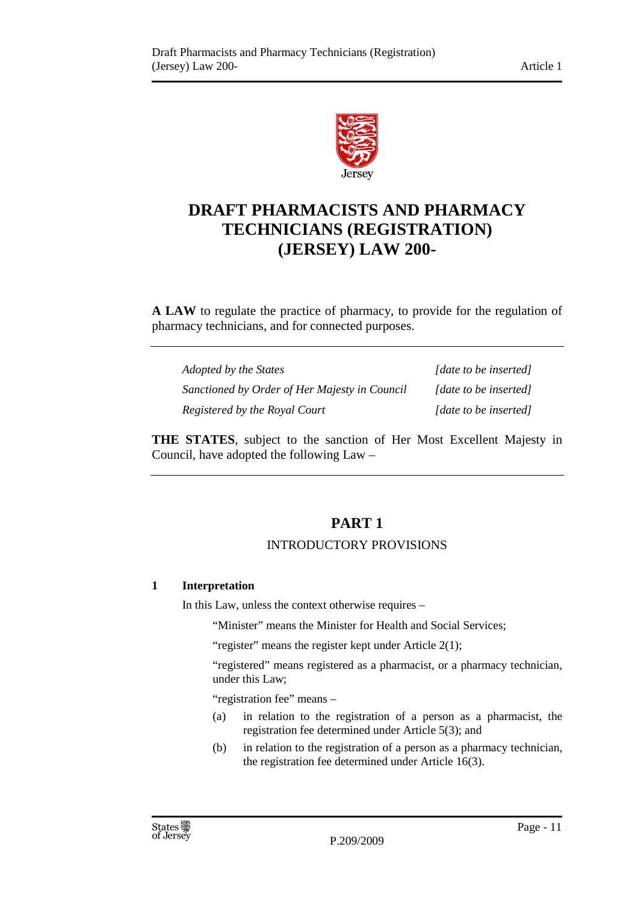

# **DRAFT PHARMACISTS AND PHARMACY TECHNICIANS (REGISTRATION) (JERSEY) LAW 200-**

**A LAW** to regulate the practice of pharmacy, to provide for the regulation of pharmacy technicians, and for connected purposes.

| Adopted by the States                         | [date to be inserted] |
|-----------------------------------------------|-----------------------|
| Sanctioned by Order of Her Majesty in Council | [date to be inserted] |
| Registered by the Royal Court                 | [date to be inserted] |

**THE STATES**, subject to the sanction of Her Most Excellent Majesty in Council, have adopted the following Law –

# **PART 1**

## INTRODUCTORY PROVISIONS

#### **1 Interpretation**

In this Law, unless the context otherwise requires –

"Minister" means the Minister for Health and Social Services;

"register" means the register kept under Article  $2(1)$ ;

"registered" means registered as a pharmacist, or a pharmacy technician, under this Law;

"registration fee" means –

- (a) in relation to the registration of a person as a pharmacist, the registration fee determined under Article 5(3); and
- (b) in relation to the registration of a person as a pharmacy technician, the registration fee determined under Article 16(3).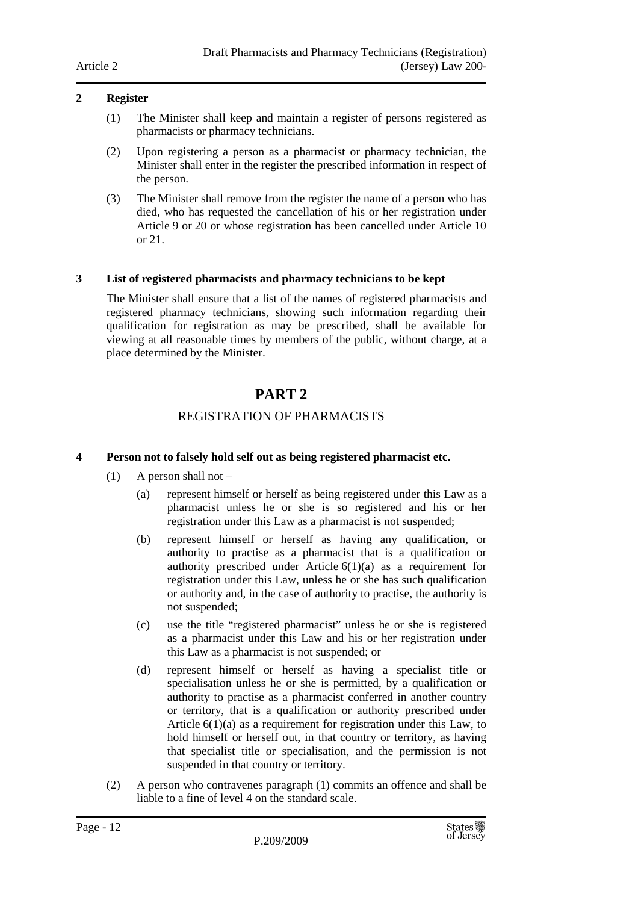#### **2 Register**

- (1) The Minister shall keep and maintain a register of persons registered as pharmacists or pharmacy technicians.
- (2) Upon registering a person as a pharmacist or pharmacy technician, the Minister shall enter in the register the prescribed information in respect of the person.
- (3) The Minister shall remove from the register the name of a person who has died, who has requested the cancellation of his or her registration under Article 9 or 20 or whose registration has been cancelled under Article 10 or 21.

#### **3 List of registered pharmacists and pharmacy technicians to be kept**

The Minister shall ensure that a list of the names of registered pharmacists and registered pharmacy technicians, showing such information regarding their qualification for registration as may be prescribed, shall be available for viewing at all reasonable times by members of the public, without charge, at a place determined by the Minister.

# **PART 2**

## REGISTRATION OF PHARMACISTS

#### **4 Person not to falsely hold self out as being registered pharmacist etc.**

- (1) A person shall not
	- (a) represent himself or herself as being registered under this Law as a pharmacist unless he or she is so registered and his or her registration under this Law as a pharmacist is not suspended;
	- (b) represent himself or herself as having any qualification, or authority to practise as a pharmacist that is a qualification or authority prescribed under Article  $6(1)(a)$  as a requirement for registration under this Law, unless he or she has such qualification or authority and, in the case of authority to practise, the authority is not suspended;
	- (c) use the title "registered pharmacist" unless he or she is registered as a pharmacist under this Law and his or her registration under this Law as a pharmacist is not suspended; or
	- (d) represent himself or herself as having a specialist title or specialisation unless he or she is permitted, by a qualification or authority to practise as a pharmacist conferred in another country or territory, that is a qualification or authority prescribed under Article 6(1)(a) as a requirement for registration under this Law, to hold himself or herself out, in that country or territory, as having that specialist title or specialisation, and the permission is not suspended in that country or territory.
- (2) A person who contravenes paragraph (1) commits an offence and shall be liable to a fine of level 4 on the standard scale.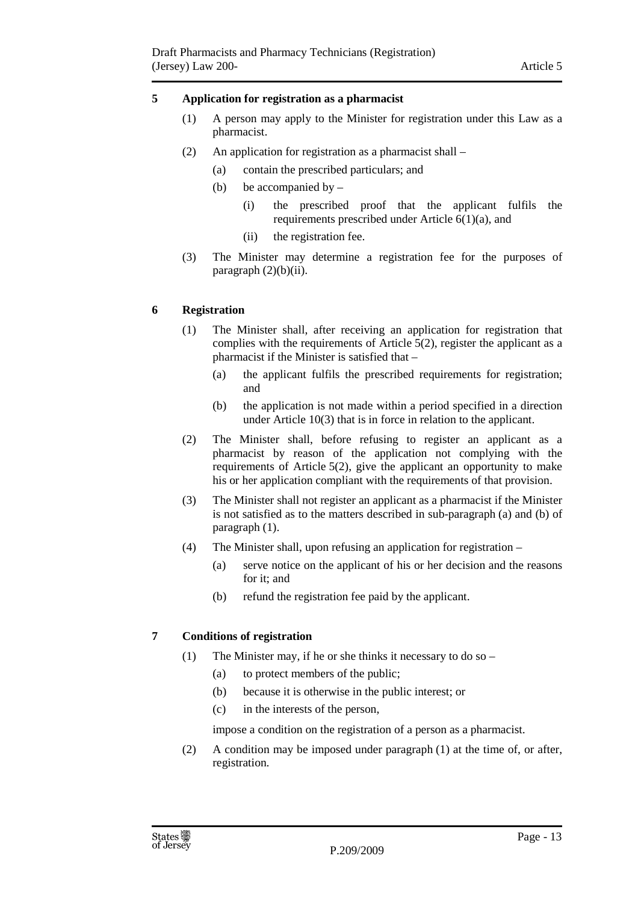#### **5 Application for registration as a pharmacist**

- (1) A person may apply to the Minister for registration under this Law as a pharmacist.
- (2) An application for registration as a pharmacist shall
	- (a) contain the prescribed particulars; and
	- (b) be accompanied by  $-$ 
		- (i) the prescribed proof that the applicant fulfils the requirements prescribed under Article 6(1)(a), and
		- (ii) the registration fee.
- (3) The Minister may determine a registration fee for the purposes of paragraph  $(2)(b)(ii)$ .

#### **6 Registration**

- (1) The Minister shall, after receiving an application for registration that complies with the requirements of Article 5(2), register the applicant as a pharmacist if the Minister is satisfied that –
	- (a) the applicant fulfils the prescribed requirements for registration; and
	- (b) the application is not made within a period specified in a direction under Article 10(3) that is in force in relation to the applicant.
- (2) The Minister shall, before refusing to register an applicant as a pharmacist by reason of the application not complying with the requirements of Article 5(2), give the applicant an opportunity to make his or her application compliant with the requirements of that provision.
- (3) The Minister shall not register an applicant as a pharmacist if the Minister is not satisfied as to the matters described in sub-paragraph (a) and (b) of paragraph (1).
- (4) The Minister shall, upon refusing an application for registration  $-$ 
	- (a) serve notice on the applicant of his or her decision and the reasons for it; and
	- (b) refund the registration fee paid by the applicant.

#### **7 Conditions of registration**

- (1) The Minister may, if he or she thinks it necessary to do so
	- (a) to protect members of the public;
	- (b) because it is otherwise in the public interest; or
	- (c) in the interests of the person,

impose a condition on the registration of a person as a pharmacist.

(2) A condition may be imposed under paragraph (1) at the time of, or after, registration.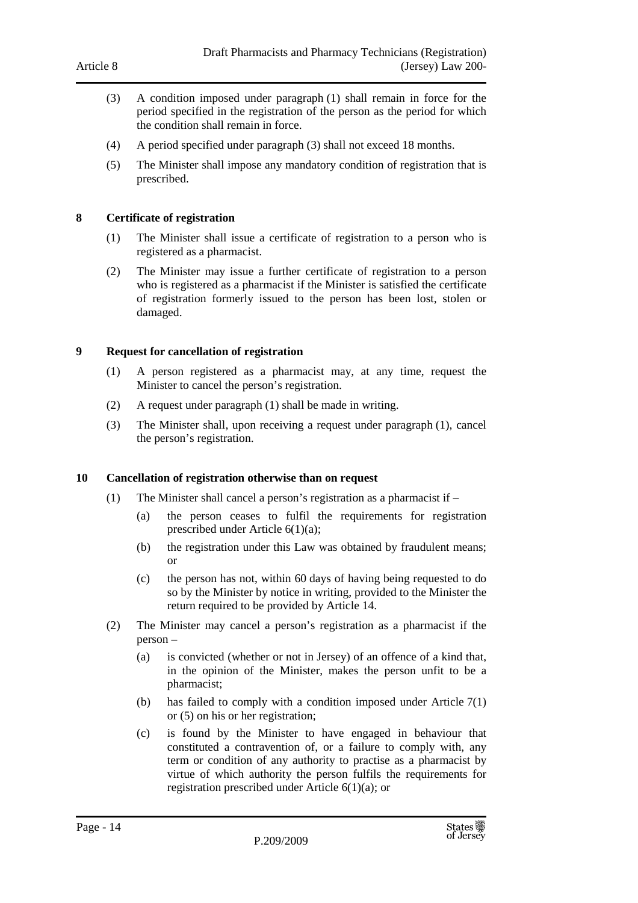- (3) A condition imposed under paragraph (1) shall remain in force for the period specified in the registration of the person as the period for which the condition shall remain in force.
- (4) A period specified under paragraph (3) shall not exceed 18 months.
- (5) The Minister shall impose any mandatory condition of registration that is prescribed.

#### **8 Certificate of registration**

- (1) The Minister shall issue a certificate of registration to a person who is registered as a pharmacist.
- (2) The Minister may issue a further certificate of registration to a person who is registered as a pharmacist if the Minister is satisfied the certificate of registration formerly issued to the person has been lost, stolen or damaged.

#### **9 Request for cancellation of registration**

- (1) A person registered as a pharmacist may, at any time, request the Minister to cancel the person's registration.
- (2) A request under paragraph (1) shall be made in writing.
- (3) The Minister shall, upon receiving a request under paragraph (1), cancel the person's registration.

#### **10 Cancellation of registration otherwise than on request**

- (1) The Minister shall cancel a person's registration as a pharmacist if
	- (a) the person ceases to fulfil the requirements for registration prescribed under Article 6(1)(a);
	- (b) the registration under this Law was obtained by fraudulent means; or
	- (c) the person has not, within 60 days of having being requested to do so by the Minister by notice in writing, provided to the Minister the return required to be provided by Article 14.
- (2) The Minister may cancel a person's registration as a pharmacist if the person –
	- (a) is convicted (whether or not in Jersey) of an offence of a kind that, in the opinion of the Minister, makes the person unfit to be a pharmacist;
	- (b) has failed to comply with a condition imposed under Article 7(1) or (5) on his or her registration;
	- (c) is found by the Minister to have engaged in behaviour that constituted a contravention of, or a failure to comply with, any term or condition of any authority to practise as a pharmacist by virtue of which authority the person fulfils the requirements for registration prescribed under Article 6(1)(a); or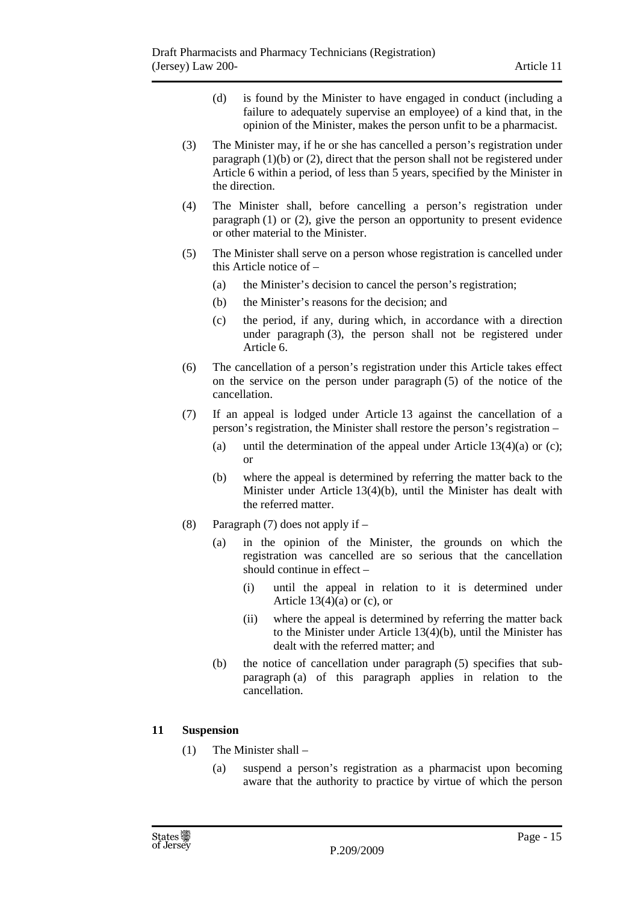- (d) is found by the Minister to have engaged in conduct (including a failure to adequately supervise an employee) of a kind that, in the opinion of the Minister, makes the person unfit to be a pharmacist.
- (3) The Minister may, if he or she has cancelled a person's registration under paragraph (1)(b) or (2), direct that the person shall not be registered under Article 6 within a period, of less than 5 years, specified by the Minister in the direction.
- (4) The Minister shall, before cancelling a person's registration under paragraph (1) or (2), give the person an opportunity to present evidence or other material to the Minister.
- (5) The Minister shall serve on a person whose registration is cancelled under this Article notice of –
	- (a) the Minister's decision to cancel the person's registration;
	- (b) the Minister's reasons for the decision; and
	- (c) the period, if any, during which, in accordance with a direction under paragraph (3), the person shall not be registered under Article 6.
- (6) The cancellation of a person's registration under this Article takes effect on the service on the person under paragraph (5) of the notice of the cancellation.
- (7) If an appeal is lodged under Article 13 against the cancellation of a person's registration, the Minister shall restore the person's registration –
	- (a) until the determination of the appeal under Article  $13(4)(a)$  or (c); or
	- (b) where the appeal is determined by referring the matter back to the Minister under Article 13(4)(b), until the Minister has dealt with the referred matter.
- (8) Paragraph (7) does not apply if
	- (a) in the opinion of the Minister, the grounds on which the registration was cancelled are so serious that the cancellation should continue in effect –
		- (i) until the appeal in relation to it is determined under Article  $13(4)(a)$  or (c), or
		- (ii) where the appeal is determined by referring the matter back to the Minister under Article 13(4)(b), until the Minister has dealt with the referred matter; and
	- (b) the notice of cancellation under paragraph (5) specifies that subparagraph (a) of this paragraph applies in relation to the cancellation.

#### **11 Suspension**

- (1) The Minister shall
	- (a) suspend a person's registration as a pharmacist upon becoming aware that the authority to practice by virtue of which the person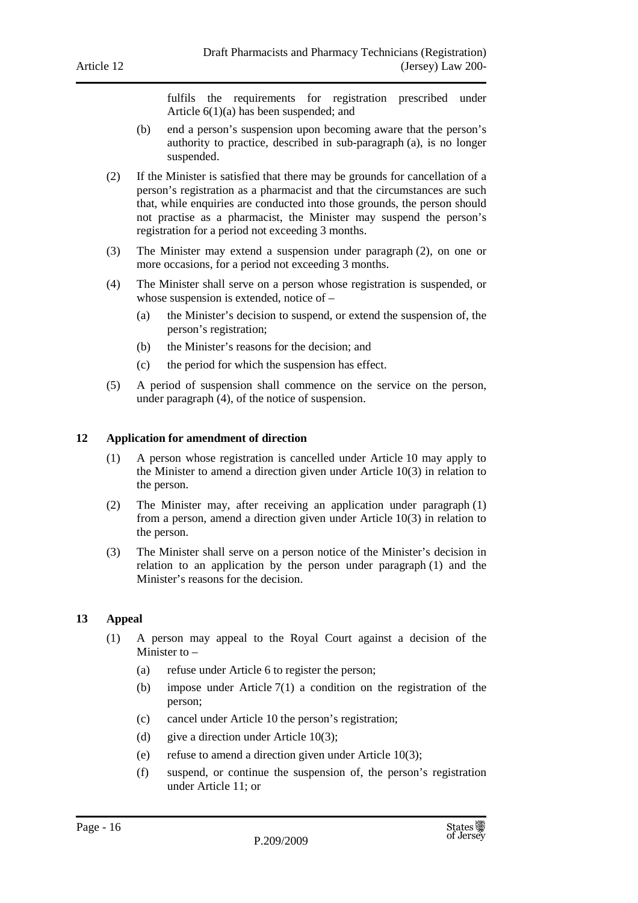fulfils the requirements for registration prescribed under Article 6(1)(a) has been suspended; and

- (b) end a person's suspension upon becoming aware that the person's authority to practice, described in sub-paragraph (a), is no longer suspended.
- (2) If the Minister is satisfied that there may be grounds for cancellation of a person's registration as a pharmacist and that the circumstances are such that, while enquiries are conducted into those grounds, the person should not practise as a pharmacist, the Minister may suspend the person's registration for a period not exceeding 3 months.
- (3) The Minister may extend a suspension under paragraph (2), on one or more occasions, for a period not exceeding 3 months.
- (4) The Minister shall serve on a person whose registration is suspended, or whose suspension is extended, notice of –
	- (a) the Minister's decision to suspend, or extend the suspension of, the person's registration;
	- (b) the Minister's reasons for the decision; and
	- (c) the period for which the suspension has effect.
- (5) A period of suspension shall commence on the service on the person, under paragraph (4), of the notice of suspension.

#### **12 Application for amendment of direction**

- (1) A person whose registration is cancelled under Article 10 may apply to the Minister to amend a direction given under Article 10(3) in relation to the person.
- (2) The Minister may, after receiving an application under paragraph (1) from a person, amend a direction given under Article 10(3) in relation to the person.
- (3) The Minister shall serve on a person notice of the Minister's decision in relation to an application by the person under paragraph (1) and the Minister's reasons for the decision.

#### **13 Appeal**

- (1) A person may appeal to the Royal Court against a decision of the Minister to –
	- (a) refuse under Article 6 to register the person;
	- (b) impose under Article 7(1) a condition on the registration of the person;
	- (c) cancel under Article 10 the person's registration;
	- (d) give a direction under Article 10(3);
	- (e) refuse to amend a direction given under Article 10(3);
	- (f) suspend, or continue the suspension of, the person's registration under Article 11; or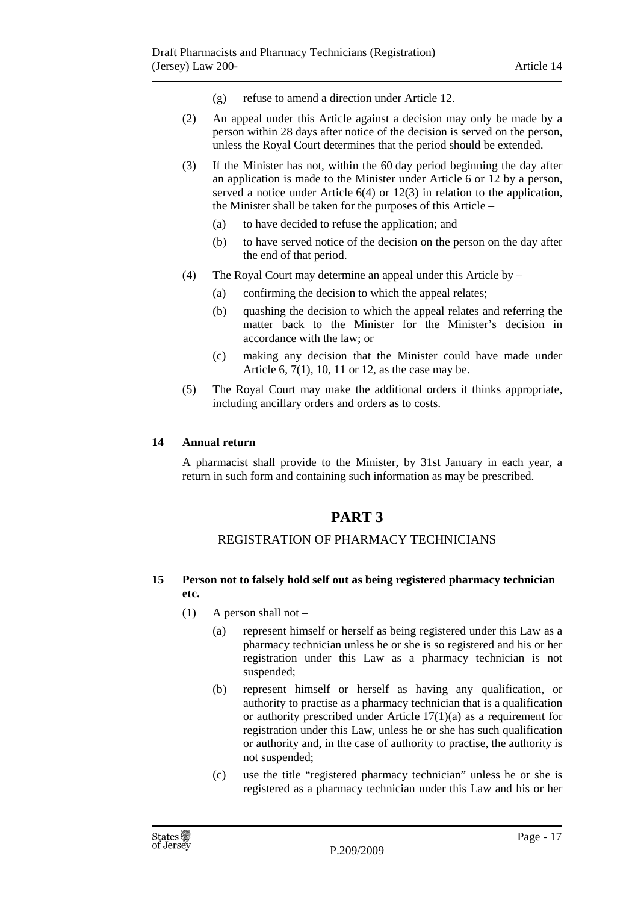- (g) refuse to amend a direction under Article 12.
- (2) An appeal under this Article against a decision may only be made by a person within 28 days after notice of the decision is served on the person, unless the Royal Court determines that the period should be extended.
- (3) If the Minister has not, within the 60 day period beginning the day after an application is made to the Minister under Article 6 or 12 by a person, served a notice under Article 6(4) or 12(3) in relation to the application, the Minister shall be taken for the purposes of this Article –
	- (a) to have decided to refuse the application; and
	- (b) to have served notice of the decision on the person on the day after the end of that period.
- (4) The Royal Court may determine an appeal under this Article by
	- (a) confirming the decision to which the appeal relates;
	- (b) quashing the decision to which the appeal relates and referring the matter back to the Minister for the Minister's decision in accordance with the law; or
	- (c) making any decision that the Minister could have made under Article 6, 7(1), 10, 11 or 12, as the case may be.
- (5) The Royal Court may make the additional orders it thinks appropriate, including ancillary orders and orders as to costs.

#### **14 Annual return**

A pharmacist shall provide to the Minister, by 31st January in each year, a return in such form and containing such information as may be prescribed.

# **PART 3**

#### REGISTRATION OF PHARMACY TECHNICIANS

#### **15 Person not to falsely hold self out as being registered pharmacy technician etc.**

- (1) A person shall not  $-$ 
	- (a) represent himself or herself as being registered under this Law as a pharmacy technician unless he or she is so registered and his or her registration under this Law as a pharmacy technician is not suspended;
	- (b) represent himself or herself as having any qualification, or authority to practise as a pharmacy technician that is a qualification or authority prescribed under Article 17(1)(a) as a requirement for registration under this Law, unless he or she has such qualification or authority and, in the case of authority to practise, the authority is not suspended;
	- (c) use the title "registered pharmacy technician" unless he or she is registered as a pharmacy technician under this Law and his or her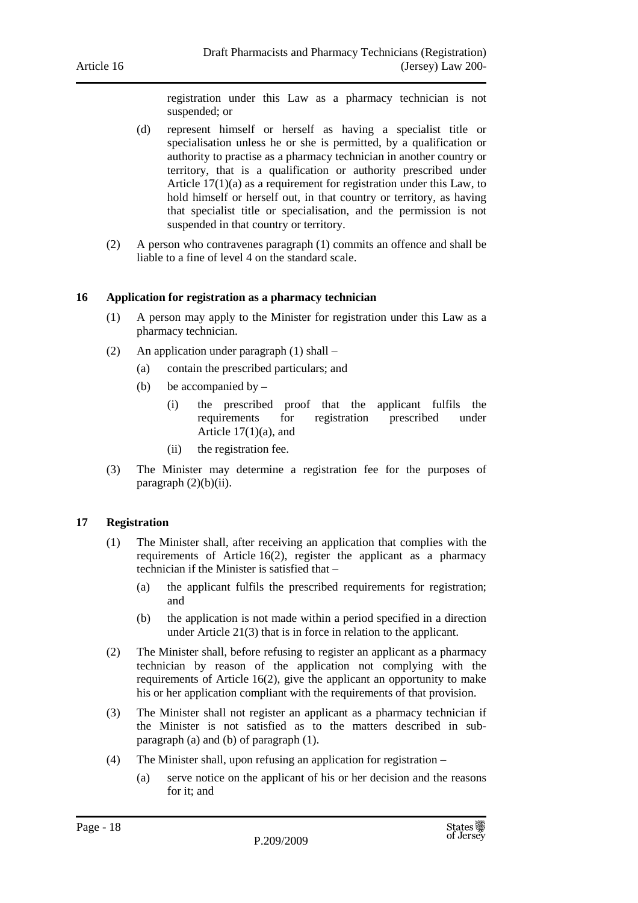registration under this Law as a pharmacy technician is not suspended; or

- (d) represent himself or herself as having a specialist title or specialisation unless he or she is permitted, by a qualification or authority to practise as a pharmacy technician in another country or territory, that is a qualification or authority prescribed under Article 17(1)(a) as a requirement for registration under this Law, to hold himself or herself out, in that country or territory, as having that specialist title or specialisation, and the permission is not suspended in that country or territory.
- (2) A person who contravenes paragraph (1) commits an offence and shall be liable to a fine of level 4 on the standard scale.

#### **16 Application for registration as a pharmacy technician**

- (1) A person may apply to the Minister for registration under this Law as a pharmacy technician.
- (2) An application under paragraph (1) shall
	- (a) contain the prescribed particulars; and
	- (b) be accompanied by  $-$ 
		- (i) the prescribed proof that the applicant fulfils the requirements for registration prescribed under Article 17(1)(a), and
		- (ii) the registration fee.
- (3) The Minister may determine a registration fee for the purposes of paragraph  $(2)(b)(ii)$ .

#### **17 Registration**

- (1) The Minister shall, after receiving an application that complies with the requirements of Article 16(2), register the applicant as a pharmacy technician if the Minister is satisfied that –
	- (a) the applicant fulfils the prescribed requirements for registration; and
	- (b) the application is not made within a period specified in a direction under Article 21(3) that is in force in relation to the applicant.
- (2) The Minister shall, before refusing to register an applicant as a pharmacy technician by reason of the application not complying with the requirements of Article 16(2), give the applicant an opportunity to make his or her application compliant with the requirements of that provision.
- (3) The Minister shall not register an applicant as a pharmacy technician if the Minister is not satisfied as to the matters described in subparagraph (a) and (b) of paragraph (1).
- (4) The Minister shall, upon refusing an application for registration
	- (a) serve notice on the applicant of his or her decision and the reasons for it; and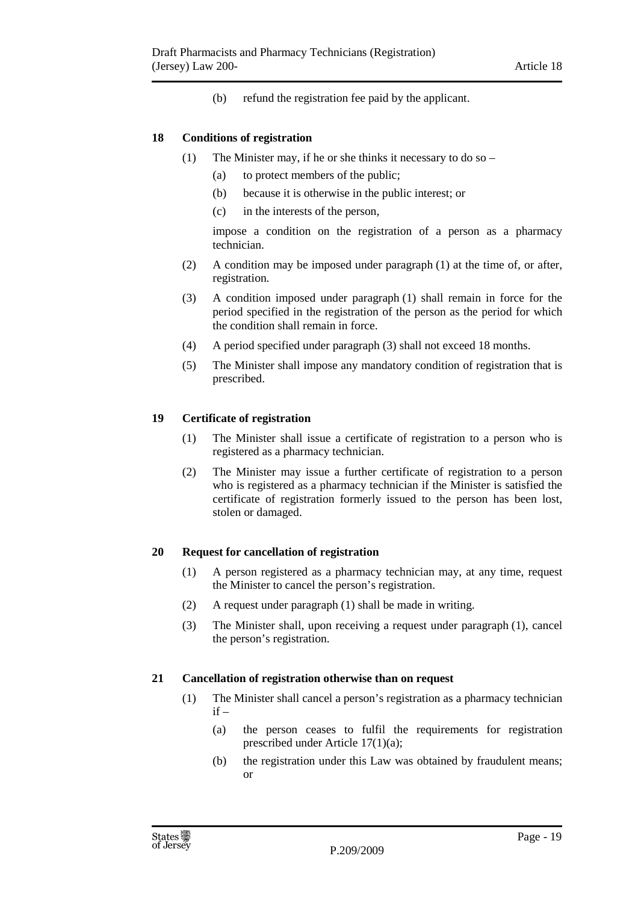(b) refund the registration fee paid by the applicant.

#### **18 Conditions of registration**

- (1) The Minister may, if he or she thinks it necessary to do so
	- (a) to protect members of the public;
	- (b) because it is otherwise in the public interest; or
	- (c) in the interests of the person,

impose a condition on the registration of a person as a pharmacy technician.

- (2) A condition may be imposed under paragraph (1) at the time of, or after, registration.
- (3) A condition imposed under paragraph (1) shall remain in force for the period specified in the registration of the person as the period for which the condition shall remain in force.
- (4) A period specified under paragraph (3) shall not exceed 18 months.
- (5) The Minister shall impose any mandatory condition of registration that is prescribed.

#### **19 Certificate of registration**

- (1) The Minister shall issue a certificate of registration to a person who is registered as a pharmacy technician.
- (2) The Minister may issue a further certificate of registration to a person who is registered as a pharmacy technician if the Minister is satisfied the certificate of registration formerly issued to the person has been lost, stolen or damaged.

#### **20 Request for cancellation of registration**

- (1) A person registered as a pharmacy technician may, at any time, request the Minister to cancel the person's registration.
- (2) A request under paragraph (1) shall be made in writing.
- (3) The Minister shall, upon receiving a request under paragraph (1), cancel the person's registration.

#### **21 Cancellation of registration otherwise than on request**

- (1) The Minister shall cancel a person's registration as a pharmacy technician  $if -$ 
	- (a) the person ceases to fulfil the requirements for registration prescribed under Article 17(1)(a);
	- (b) the registration under this Law was obtained by fraudulent means; or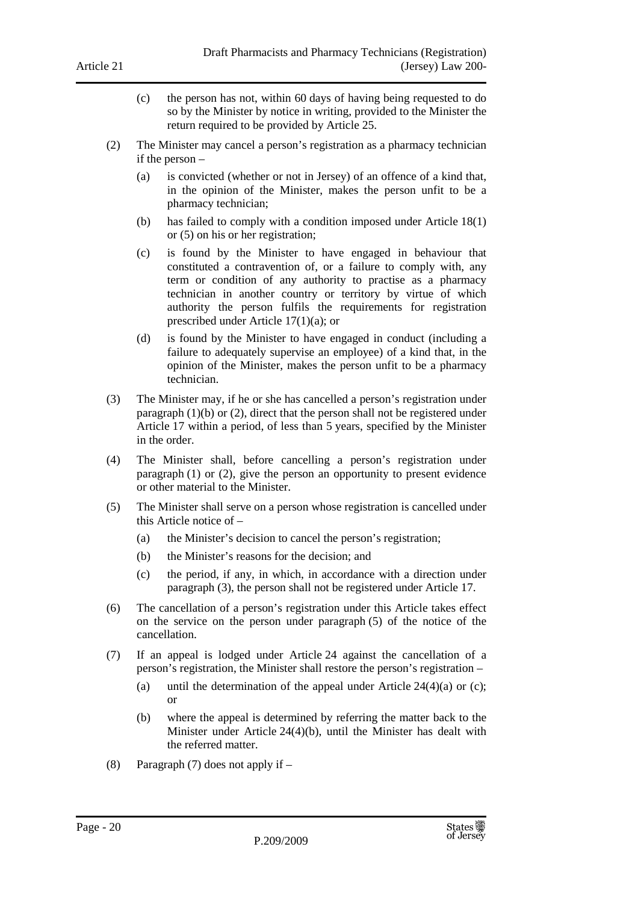- (c) the person has not, within 60 days of having being requested to do so by the Minister by notice in writing, provided to the Minister the return required to be provided by Article 25.
- (2) The Minister may cancel a person's registration as a pharmacy technician if the person –
	- (a) is convicted (whether or not in Jersey) of an offence of a kind that, in the opinion of the Minister, makes the person unfit to be a pharmacy technician;
	- (b) has failed to comply with a condition imposed under Article 18(1) or (5) on his or her registration;
	- (c) is found by the Minister to have engaged in behaviour that constituted a contravention of, or a failure to comply with, any term or condition of any authority to practise as a pharmacy technician in another country or territory by virtue of which authority the person fulfils the requirements for registration prescribed under Article 17(1)(a); or
	- (d) is found by the Minister to have engaged in conduct (including a failure to adequately supervise an employee) of a kind that, in the opinion of the Minister, makes the person unfit to be a pharmacy technician.
- (3) The Minister may, if he or she has cancelled a person's registration under paragraph (1)(b) or (2), direct that the person shall not be registered under Article 17 within a period, of less than 5 years, specified by the Minister in the order.
- (4) The Minister shall, before cancelling a person's registration under paragraph (1) or (2), give the person an opportunity to present evidence or other material to the Minister.
- (5) The Minister shall serve on a person whose registration is cancelled under this Article notice of –
	- (a) the Minister's decision to cancel the person's registration;
	- (b) the Minister's reasons for the decision; and
	- (c) the period, if any, in which, in accordance with a direction under paragraph (3), the person shall not be registered under Article 17.
- (6) The cancellation of a person's registration under this Article takes effect on the service on the person under paragraph (5) of the notice of the cancellation.
- (7) If an appeal is lodged under Article 24 against the cancellation of a person's registration, the Minister shall restore the person's registration –
	- (a) until the determination of the appeal under Article  $24(4)(a)$  or (c); or
	- (b) where the appeal is determined by referring the matter back to the Minister under Article 24(4)(b), until the Minister has dealt with the referred matter.
- (8) Paragraph (7) does not apply if –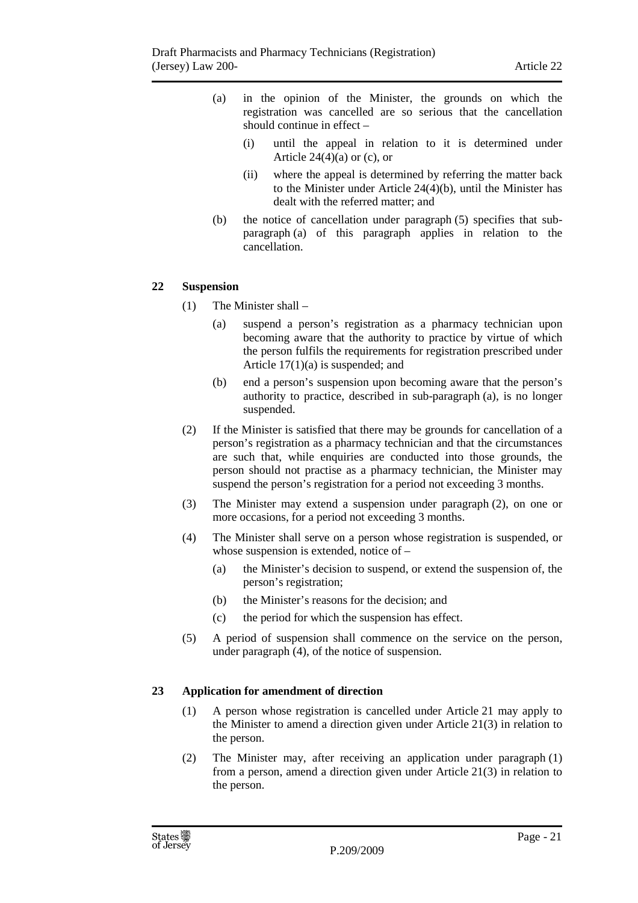- (a) in the opinion of the Minister, the grounds on which the registration was cancelled are so serious that the cancellation should continue in effect –
	- (i) until the appeal in relation to it is determined under Article  $24(4)(a)$  or (c), or
	- (ii) where the appeal is determined by referring the matter back to the Minister under Article 24(4)(b), until the Minister has dealt with the referred matter; and
- (b) the notice of cancellation under paragraph (5) specifies that subparagraph (a) of this paragraph applies in relation to the cancellation.

#### **22 Suspension**

- (1) The Minister shall
	- (a) suspend a person's registration as a pharmacy technician upon becoming aware that the authority to practice by virtue of which the person fulfils the requirements for registration prescribed under Article 17(1)(a) is suspended; and
	- (b) end a person's suspension upon becoming aware that the person's authority to practice, described in sub-paragraph (a), is no longer suspended.
- (2) If the Minister is satisfied that there may be grounds for cancellation of a person's registration as a pharmacy technician and that the circumstances are such that, while enquiries are conducted into those grounds, the person should not practise as a pharmacy technician, the Minister may suspend the person's registration for a period not exceeding 3 months.
- (3) The Minister may extend a suspension under paragraph (2), on one or more occasions, for a period not exceeding 3 months.
- (4) The Minister shall serve on a person whose registration is suspended, or whose suspension is extended, notice of –
	- (a) the Minister's decision to suspend, or extend the suspension of, the person's registration;
	- (b) the Minister's reasons for the decision; and
	- (c) the period for which the suspension has effect.
- (5) A period of suspension shall commence on the service on the person, under paragraph (4), of the notice of suspension.

#### **23 Application for amendment of direction**

- (1) A person whose registration is cancelled under Article 21 may apply to the Minister to amend a direction given under Article 21(3) in relation to the person.
- (2) The Minister may, after receiving an application under paragraph (1) from a person, amend a direction given under Article 21(3) in relation to the person.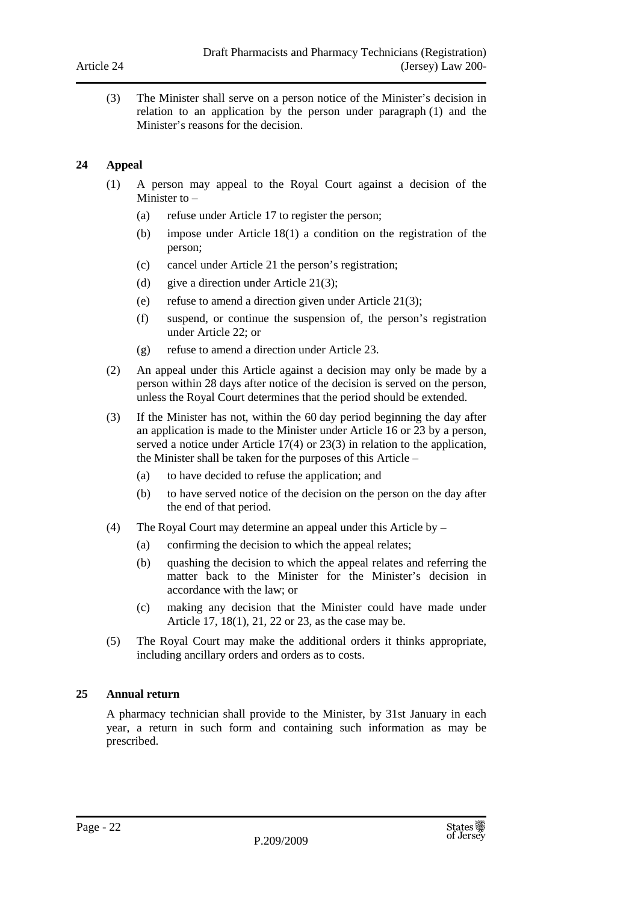(3) The Minister shall serve on a person notice of the Minister's decision in relation to an application by the person under paragraph (1) and the Minister's reasons for the decision.

#### **24 Appeal**

- (1) A person may appeal to the Royal Court against a decision of the Minister to –
	- (a) refuse under Article 17 to register the person;
	- (b) impose under Article 18(1) a condition on the registration of the person;
	- (c) cancel under Article 21 the person's registration;
	- (d) give a direction under Article 21(3);
	- (e) refuse to amend a direction given under Article 21(3);
	- (f) suspend, or continue the suspension of, the person's registration under Article 22; or
	- (g) refuse to amend a direction under Article 23.
- (2) An appeal under this Article against a decision may only be made by a person within 28 days after notice of the decision is served on the person, unless the Royal Court determines that the period should be extended.
- (3) If the Minister has not, within the 60 day period beginning the day after an application is made to the Minister under Article 16 or 23 by a person, served a notice under Article 17(4) or 23(3) in relation to the application, the Minister shall be taken for the purposes of this Article –
	- (a) to have decided to refuse the application; and
	- (b) to have served notice of the decision on the person on the day after the end of that period.
- (4) The Royal Court may determine an appeal under this Article by
	- (a) confirming the decision to which the appeal relates;
	- (b) quashing the decision to which the appeal relates and referring the matter back to the Minister for the Minister's decision in accordance with the law; or
	- (c) making any decision that the Minister could have made under Article 17, 18(1), 21, 22 or 23, as the case may be.
- (5) The Royal Court may make the additional orders it thinks appropriate, including ancillary orders and orders as to costs.

#### **25 Annual return**

A pharmacy technician shall provide to the Minister, by 31st January in each year, a return in such form and containing such information as may be prescribed.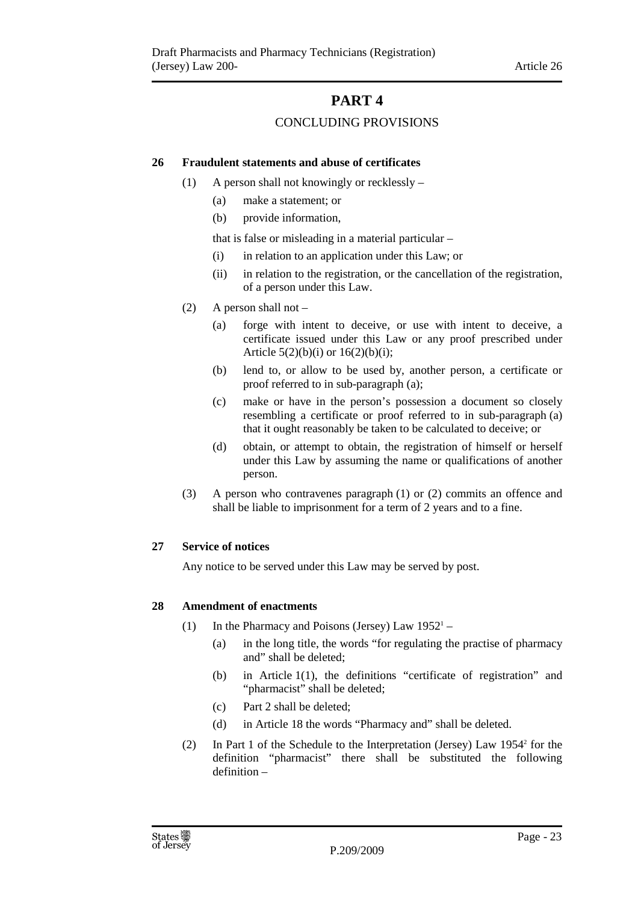# **PART 4**

### CONCLUDING PROVISIONS

#### **26 Fraudulent statements and abuse of certificates**

- (1) A person shall not knowingly or recklessly
	- (a) make a statement; or
	- (b) provide information,

that is false or misleading in a material particular –

- (i) in relation to an application under this Law; or
- (ii) in relation to the registration, or the cancellation of the registration, of a person under this Law.
- (2) A person shall not
	- (a) forge with intent to deceive, or use with intent to deceive, a certificate issued under this Law or any proof prescribed under Article  $5(2)(b)(i)$  or  $16(2)(b)(i)$ ;
	- (b) lend to, or allow to be used by, another person, a certificate or proof referred to in sub-paragraph (a);
	- (c) make or have in the person's possession a document so closely resembling a certificate or proof referred to in sub-paragraph (a) that it ought reasonably be taken to be calculated to deceive; or
	- (d) obtain, or attempt to obtain, the registration of himself or herself under this Law by assuming the name or qualifications of another person.
- (3) A person who contravenes paragraph (1) or (2) commits an offence and shall be liable to imprisonment for a term of 2 years and to a fine.

#### **27 Service of notices**

Any notice to be served under this Law may be served by post.

#### **28 Amendment of enactments**

- (1) In the Pharmacy and Poisons (Jersey) Law  $1952^1 -$ 
	- (a) in the long title, the words "for regulating the practise of pharmacy and" shall be deleted;
	- (b) in Article 1(1), the definitions "certificate of registration" and "pharmacist" shall be deleted;
	- (c) Part 2 shall be deleted;
	- (d) in Article 18 the words "Pharmacy and" shall be deleted.
- (2) In Part 1 of the Schedule to the Interpretation (Jersey) Law 1954<sup>2</sup> for the definition "pharmacist" there shall be substituted the following definition –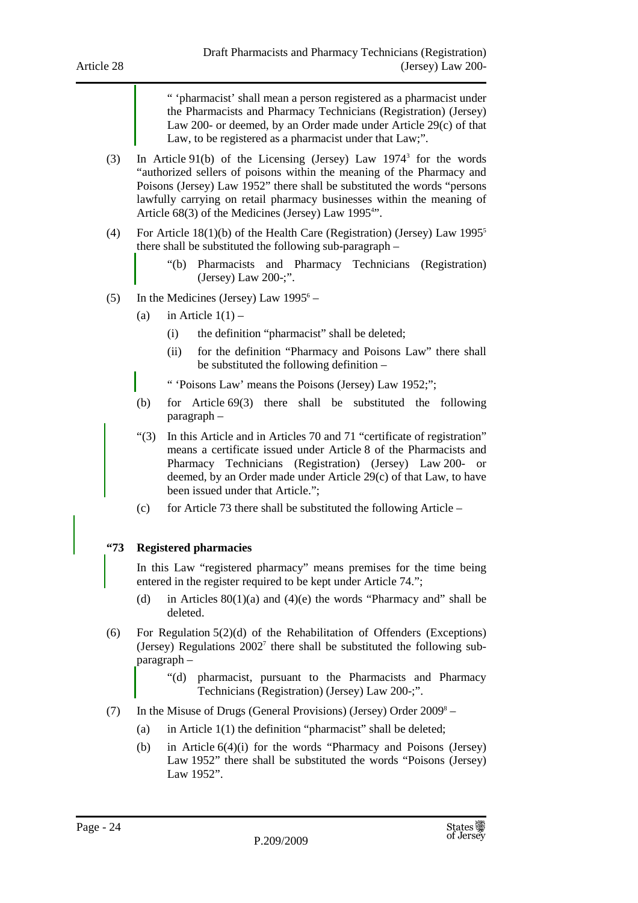" 'pharmacist' shall mean a person registered as a pharmacist under the Pharmacists and Pharmacy Technicians (Registration) (Jersey) Law 200- or deemed, by an Order made under Article 29(c) of that Law, to be registered as a pharmacist under that Law;".

- (3) In Article 91(b) of the Licensing (Jersey) Law 1974<sup>3</sup> for the words "authorized sellers of poisons within the meaning of the Pharmacy and Poisons (Jersey) Law 1952" there shall be substituted the words "persons lawfully carrying on retail pharmacy businesses within the meaning of Article 68(3) of the Medicines (Jersey) Law 1995<sup>4</sup>".
- (4) For Article 18(1)(b) of the Health Care (Registration) (Jersey) Law 1995<sup>5</sup> there shall be substituted the following sub-paragraph –
	- "(b) Pharmacists and Pharmacy Technicians (Registration) (Jersey) Law 200-;".
- (5) In the Medicines (Jersey) Law  $1995^6 -$ 
	- (a) in Article  $1(1)$ 
		- (i) the definition "pharmacist" shall be deleted;
		- (ii) for the definition "Pharmacy and Poisons Law" there shall be substituted the following definition –

" 'Poisons Law' means the Poisons (Jersey) Law 1952;";

- (b) for Article 69(3) there shall be substituted the following paragraph –
- "(3) In this Article and in Articles 70 and 71 "certificate of registration" means a certificate issued under Article 8 of the Pharmacists and Pharmacy Technicians (Registration) (Jersey) Law 200- or deemed, by an Order made under Article 29(c) of that Law, to have been issued under that Article.";
- (c) for Article 73 there shall be substituted the following Article –

#### **"73 Registered pharmacies**

In this Law "registered pharmacy" means premises for the time being entered in the register required to be kept under Article 74.";

- (d) in Articles  $80(1)(a)$  and  $(4)(e)$  the words "Pharmacy and" shall be deleted.
- (6) For Regulation 5(2)(d) of the Rehabilitation of Offenders (Exceptions) (Jersey) Regulations 2002<sup>7</sup> there shall be substituted the following subparagraph –
	- "(d) pharmacist, pursuant to the Pharmacists and Pharmacy Technicians (Registration) (Jersey) Law 200-;".
- (7) In the Misuse of Drugs (General Provisions) (Jersey) Order  $2009^8 -$ 
	- (a) in Article  $1(1)$  the definition "pharmacist" shall be deleted;
	- (b) in Article 6(4)(i) for the words "Pharmacy and Poisons (Jersey) Law 1952" there shall be substituted the words "Poisons (Jersey) Law 1952".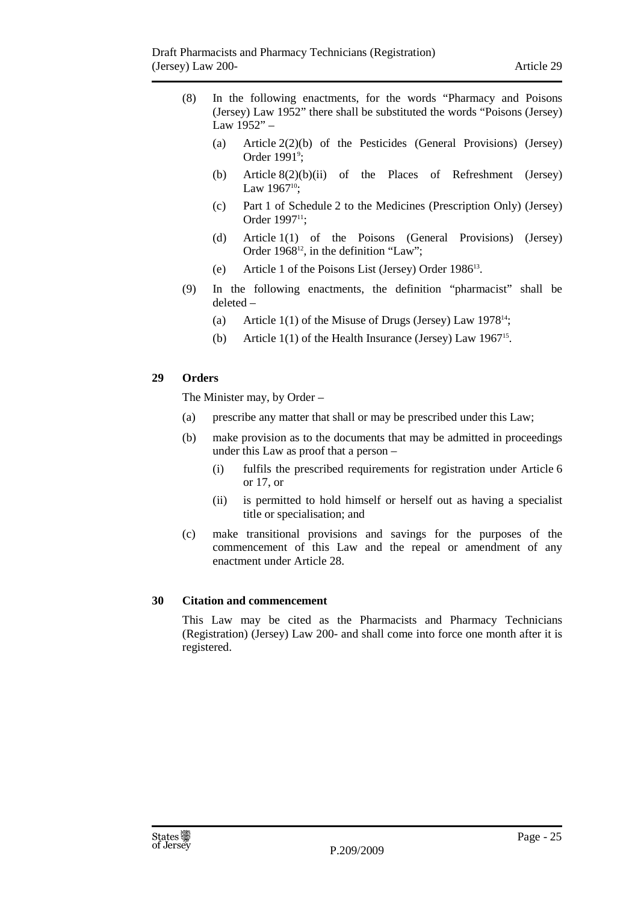- (8) In the following enactments, for the words "Pharmacy and Poisons (Jersey) Law 1952" there shall be substituted the words "Poisons (Jersey) Law  $1952" -$ 
	- (a) Article 2(2)(b) of the Pesticides (General Provisions) (Jersey) Order 1991<sup>9</sup>;
	- (b) Article 8(2)(b)(ii) of the Places of Refreshment (Jersey) Law  $1967^{10}$ ;
	- (c) Part 1 of Schedule 2 to the Medicines (Prescription Only) (Jersey) Order 1997<sup>11</sup>:
	- (d) Article 1(1) of the Poisons (General Provisions) (Jersey) Order 1968<sup>12</sup>, in the definition "Law";
	- (e) Article 1 of the Poisons List (Jersey) Order 1986<sup>13</sup>.
- (9) In the following enactments, the definition "pharmacist" shall be deleted –
	- (a) Article 1(1) of the Misuse of Drugs (Jersey) Law  $1978^{14}$ ;
	- (b) Article  $1(1)$  of the Health Insurance (Jersey) Law 1967<sup>15</sup>.

#### **29 Orders**

The Minister may, by Order –

- (a) prescribe any matter that shall or may be prescribed under this Law;
- (b) make provision as to the documents that may be admitted in proceedings under this Law as proof that a person –
	- (i) fulfils the prescribed requirements for registration under Article 6 or 17, or
	- (ii) is permitted to hold himself or herself out as having a specialist title or specialisation; and
- (c) make transitional provisions and savings for the purposes of the commencement of this Law and the repeal or amendment of any enactment under Article 28.

#### **30 Citation and commencement**

This Law may be cited as the Pharmacists and Pharmacy Technicians (Registration) (Jersey) Law 200- and shall come into force one month after it is registered.